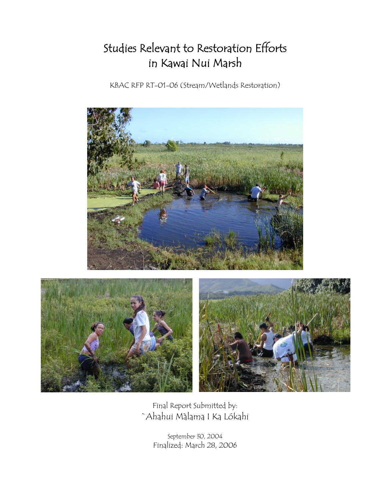## Studies Relevant to Restoration Efforts in Kawai Nui Marsh

KBAC RFP RT-01-06 (Stream/Wetlands Restoration)





Final Report Submitted by: `Ahahui Màlama I Ka Lókahi

> September 30, 2004 Finalized: March 28, 2006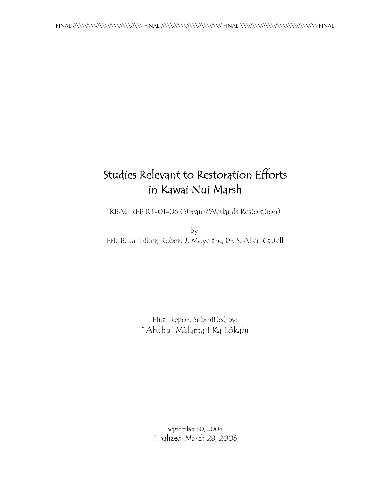## Studies Relevant to Restoration Efforts in Kawai Nui Marsh

KBAC RFP RT-01-06 (Stream/Wetlands Restoration)

by: Eric B. Guinther, Robert J. Moye and Dr. S. Allen Cattell

> Final Report Submitted by: `Ahahui Màlama I Ka Lókahi

> > September 30, 2004 Finalized: March 28, 2006